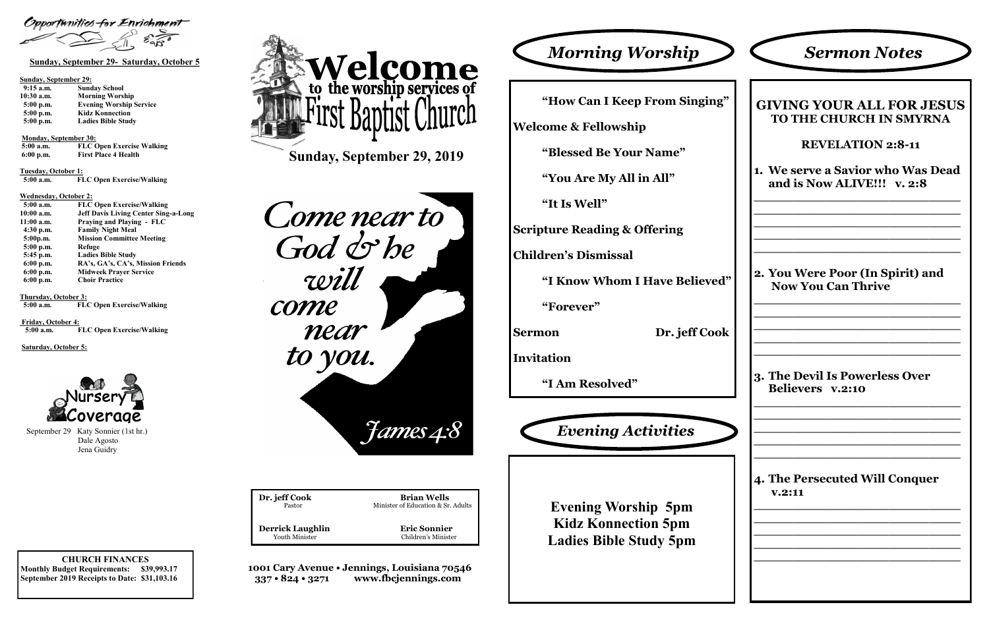

Youth Minister Children's Minister

**Eric Sonnier** 

**1001 Cary Avenue • Jennings, Louisiana 70546 337 • 824 • 3271 www.fbcjennings.com**

**Sunday, September 29, 2019**

Come near to God & he will come near to you. September 29 Katy Sonnier (1st hr.)<br> **Evening Activities** 

| Dr. jeff Cook<br>Pastor |  |
|-------------------------|--|
| <b>Derrick Laughlin</b> |  |

**Brian Wells** Minister of Education & Sr. Adults



Opportunities for Enrichment

#### **Sunday, September 29:**

| $9:15$ a.m. | <b>Sunday School</b>           |
|-------------|--------------------------------|
| 10:30 a.m.  | <b>Morning Worship</b>         |
| $5:00$ p.m. | <b>Evening Worship Service</b> |
| $5:00$ p.m. | <b>Kidz Konnection</b>         |
| $5:00$ p.m. | <b>Ladies Bible Study</b>      |

#### **Monday, September 30:**

| 5:00 a.m.   | <b>FLC Open Exercise Walking</b> |
|-------------|----------------------------------|
| $6:00$ p.m. | <b>First Place 4 Health</b>      |

**Tuesday, October 1:**

 **5:00 a.m. FLC Open Exercise/Walking**

#### **Wednesday, October 2:**

| $5:00$ a.m. | <b>FLC Open Exercise/Walking</b>            |
|-------------|---------------------------------------------|
| 10:00 a.m.  | <b>Jeff Davis Living Center Sing-a-Long</b> |
| 11:00 a.m.  | Praying and Playing - FLC                   |
| $4:30$ p.m. | <b>Family Night Meal</b>                    |
| 5:00p.m.    | <b>Mission Committee Meeting</b>            |
| $5:00$ p.m. | Refuge                                      |
| 5:45 p.m.   | <b>Ladies Bible Study</b>                   |
| $6:00$ p.m. | RA's, GA's, CA's, Mission Friends           |
| $6:00$ p.m. | <b>Midweek Prayer Service</b>               |
| $6:00$ p.m. | <b>Choir Practice</b>                       |

**Thursday, October 3:**

 **5:00 a.m. FLC Open Exercise/Walking**

**Friday, October 4: 5:00 a.m. FLC Open Exercise/Walking**

#### **Saturday, October 5:**



**"How Can I Keep From Singing"**

**Welcome & Fellowship**

**"Blessed Be Your Name"**

**"You Are My All in All"**

**"It Is Well"**

**Scripture Reading & Offering**

**Children's Dismissal**

**"I Know Whom I Have Believed"**

**"Forever"**

**Sermon Dr. jeff Cook**

**Invitation**

**"I Am Resolved"**



| <b>Sermon Notes</b>                                              |
|------------------------------------------------------------------|
| <b>GIVING YOUR ALL FOR JESUS</b><br>TO THE CHURCH IN SMYRNA      |
| <b>REVELATION 2:8-11</b>                                         |
| 1. We serve a Savior who Was Dead<br>and is Now ALIVE!!! v. 2:8  |
|                                                                  |
| 2. You Were Poor (In Spirit) and<br><b>Now You Can Thrive</b>    |
| <b>3. The Devil Is Powerless Over</b><br><b>Believers</b> v.2:10 |
|                                                                  |
| <b>4. The Persecuted Will Conquer</b><br>V.2:11                  |
|                                                                  |
|                                                                  |
|                                                                  |
|                                                                  |

**Evening Worship 5pm Kidz Konnection 5pm Ladies Bible Study 5pm**

 Dale Agosto Jena Guidry